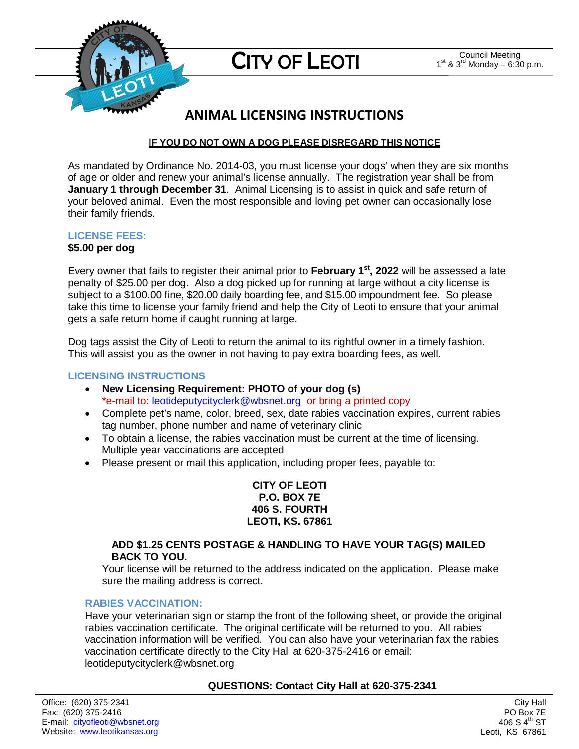

## **ANIMAL LICENSING INSTRUCTIONS**

## I**F YOU DO NOT OWN A DOG PLEASE DISREGARD THIS NOTICE**

As mandated by Ordinance No. 2014-03, you must license your dogs' when they are six months of age or older and renew your animal's license annually. The registration year shall be from **January 1 through December 31**. Animal Licensing is to assist in quick and safe return of your beloved animal. Even the most responsible and loving pet owner can occasionally lose their family friends.

## **LICENSE FEES:**

### **\$5.00 per dog**

Every owner that fails to register their animal prior to **February 1st, 2022** will be assessed a late penalty of \$25.00 per dog. Also a dog picked up for running at large without a city license is subject to a \$100.00 fine, \$20.00 daily boarding fee, and \$15.00 impoundment fee. So please take this time to license your family friend and help the City of Leoti to ensure that your animal gets a safe return home if caught running at large.

Dog tags assist the City of Leoti to return the animal to its rightful owner in a timely fashion. This will assist you as the owner in not having to pay extra boarding fees, as well.

### **LICENSING INSTRUCTIONS**

- **New Licensing Requirement: PHOTO of your dog (s)**  \*e-mail to: [leotideputycityclerk@wbsnet.org](mailto:leotideputycityclerk@wbsnet.org) or bring a printed copy
- Complete pet's name, color, breed, sex, date rabies vaccination expires, current rabies tag number, phone number and name of veterinary clinic
- To obtain a license, the rabies vaccination must be current at the time of licensing. Multiple year vaccinations are accepted
- Please present or mail this application, including proper fees, payable to:

**CITY OF LEOTI P.O. BOX 7E 406 S. FOURTH LEOTI, KS. 67861**

#### **ADD \$1.25 CENTS POSTAGE & HANDLING TO HAVE YOUR TAG(S) MAILED BACK TO YOU.**

Your license will be returned to the address indicated on the application. Please make sure the mailing address is correct.

### **RABIES VACCINATION:**

Have your veterinarian sign or stamp the front of the following sheet, or provide the original rabies vaccination certificate. The original certificate will be returned to you. All rabies vaccination information will be verified. You can also have your veterinarian fax the rabies vaccination certificate directly to the City Hall at 620-375-2416 or email: leotideputycityclerk@wbsnet.org

### **QUESTIONS: Contact City Hall at 620-375-2341**